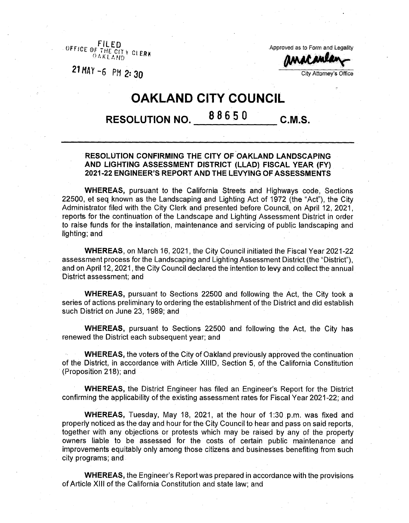$\overline{\text{O}}$ FFICE B<sub>f</sub> 0 \*■\*> <sup>K</sup> <sup>L</sup> A *NO*

Approved as to Form and Legality

*21 MAY-6* **PM 2: 3o**

CI.EHK *MMftdtmr* City Attorney's Office

## **OAKLAND CITY COUNCIL**

## **RESOLUTION NO. <sup>8</sup> 86 <sup>5</sup> <sup>0</sup> C.M.S.**

## **RESOLUTION CONFIRMING THE CITY OF OAKLAND LANDSCAPING AND LIGHTING ASSESSMENT DISTRICT (LLAD) FISCAL YEAR (FY) 2021 -22 ENGINEER'S REPORT AND THE LEVYING OF ASSESSMENTS**

**WHEREAS,** pursuant to the California Streets and Highways code, Sections 22500, et seq known as the Landscaping and Lighting Act of 1972 (the "Act"), the City Administrator filed with the City Clerk and presented before Council, on April 12, 2021, reports for the continuation of the Landscape and Lighting Assessment District in order to raise funds for the installation, maintenance and servicing of public landscaping and lighting; and

**WHEREAS,** on March 16, 2021, the City Council initiated the Fiscal Year 2021-22 assessment process for the Landscaping and Lighting Assessment District (the "District"), and on April 12, 2021, the City Council declared the intention to levy and collect the annual District assessment; and

**WHEREAS,** pursuant to Sections 22500 and following the Act, the City took a series of actions preliminary to ordering the establishment of the District and did establish such District on June 23, 1989; and

**WHEREAS,** pursuant to Sections 22500 and following the Act, the City has renewed the District each subsequent year; and

**WHEREAS,** the voters of the City of Oakland previously approved the continuation of the District, in accordance with Article XIIID, Section 5, of the California Constitution (Proposition 218); and

**WHEREAS,** the District Engineer has filed an Engineer's Report for the District confirming the applicability of the existing assessment rates for Fiscal Year 2021-22; and

**WHEREAS,** Tuesday, May 18, 2021, at the hour of 1:30 p.m. was fixed and properly noticed as the day and hour for the City Council to hear and pass on said reports, together with any objections or protests which may be raised by any of the property owners liable to be assessed for the costs of certain public maintenance and improvements equitably only among those citizens and businesses benefiting from such city programs; and

**WHEREAS,** the Engineer's Report was prepared in accordance with the provisions ofArticle XIII of the California Constitution and state law; and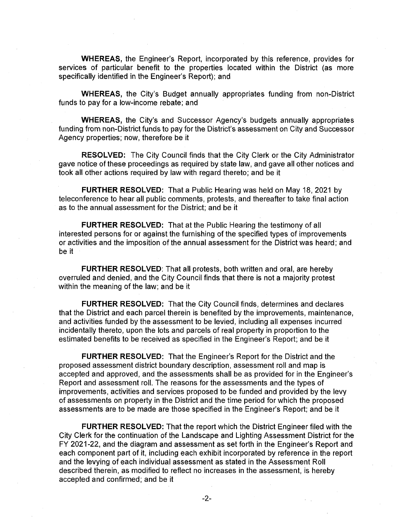**WHEREAS,** the Engineer's Report, incorporated by this reference, provides for services of particular benefit to the properties located within the District (as more specifically identified in the Engineer's Report); and

**WHEREAS,** the City's Budget annually appropriates funding from non-District funds to pay for a low-income rebate; and

**WHEREAS,** the City's and Successor Agency's budgets annually appropriates funding from non-District funds to pay for the District's assessment on City and Successor Agency properties; now, therefore be it

**RESOLVED:** The City Council finds that the City Clerk or the City Administrator gave notice of these proceedings as required by state law, and gave all other notices and took all other actions required by law with regard thereto; and be it

**FURTHER RESOLVED:** That a Public Hearing was held on May 18, 2021 by teleconference to hear all public comments, protests, and thereafter to take final action as to the annual assessment for the District; and be it

**FURTHER RESOLVED:** That at the Public Hearing the testimony of all interested persons for or against the furnishing of the specified types of improvements or activities and the imposition of the annual assessment for the District was heard; and be it

**FURTHER RESOLVED:** That all protests, both written and oral, are hereby overruled and denied, and the City Council finds that there is not a majority protest within the meaning of the law; and be it

**FURTHER RESOLVED:** That the City Council finds, determines and declares that the District and each parcel therein is benefited by the improvements, maintenance and activities funded by the assessment to be levied, including all expenses incurred incidentally thereto, upon the lots and parcels of real property in proportion to the estimated benefits to be received as specified in the Engineer's Report; and be it

**FURTHER RESOLVED:** That the Engineer's Report for the District and the proposed assessment district boundary description, assessment roll and map is accepted and approved, and the assessments shall be as provided for in the Engineer's Report and assessment roll. The reasons for the assessments and the types of improvements, activities and services proposed to be funded and provided by the levy of assessments on property in the District and the time period for which the proposed assessments are to be made are those specified in the Engineer's Report; and be it

**FURTHER RESOLVED:** That the report which the District Engineer filed with the City Clerk for the continuation of the Landscape and Lighting Assessment District for the FY 2021-22, and the diagram and assessment as set forth in the Engineer's Report and each component part of it, including each exhibit incorporated by reference in the report and the levying of each individual assessment as stated in the Assessment Roll described therein, as modified to reflect no increases in the assessment, is hereby accepted and confirmed; and be it